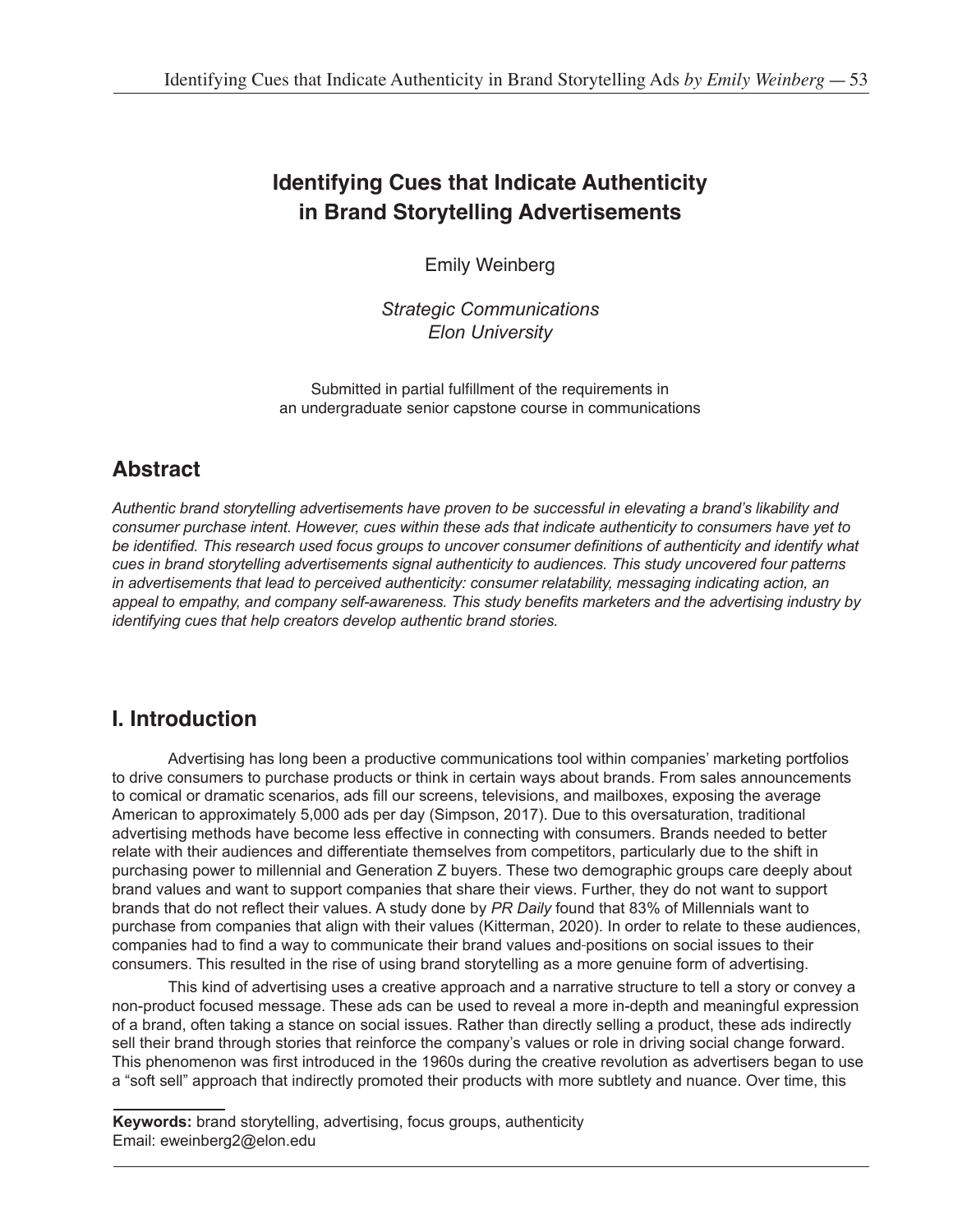# **Identifying Cues that Indicate Authenticity in Brand Storytelling Advertisements**

Emily Weinberg

*Strategic Communications Elon University*

Submitted in partial fulfillment of the requirements in an undergraduate senior capstone course in communications

# **Abstract**

*Authentic brand storytelling advertisements have proven to be successful in elevating a brand's likability and consumer purchase intent. However, cues within these ads that indicate authenticity to consumers have yet to be identified. This research used focus groups to uncover consumer definitions of authenticity and identify what cues in brand storytelling advertisements signal authenticity to audiences. This study uncovered four patterns in advertisements that lead to perceived authenticity: consumer relatability, messaging indicating action, an appeal to empathy, and company self-awareness. This study benefits marketers and the advertising industry by identifying cues that help creators develop authentic brand stories.*

# **I. Introduction**

Advertising has long been a productive communications tool within companies' marketing portfolios to drive consumers to purchase products or think in certain ways about brands. From sales announcements to comical or dramatic scenarios, ads fill our screens, televisions, and mailboxes, exposing the average American to approximately 5,000 ads per day (Simpson, 2017). Due to this oversaturation, traditional advertising methods have become less effective in connecting with consumers. Brands needed to better relate with their audiences and differentiate themselves from competitors, particularly due to the shift in purchasing power to millennial and Generation Z buyers. These two demographic groups care deeply about brand values and want to support companies that share their views. Further, they do not want to support brands that do not reflect their values. A study done by *PR Daily* found that 83% of Millennials want to purchase from companies that align with their values (Kitterman, 2020). In order to relate to these audiences, companies had to find a way to communicate their brand values and positions on social issues to their consumers. This resulted in the rise of using brand storytelling as a more genuine form of advertising.

This kind of advertising uses a creative approach and a narrative structure to tell a story or convey a non-product focused message. These ads can be used to reveal a more in-depth and meaningful expression of a brand, often taking a stance on social issues. Rather than directly selling a product, these ads indirectly sell their brand through stories that reinforce the company's values or role in driving social change forward. This phenomenon was first introduced in the 1960s during the creative revolution as advertisers began to use a "soft sell" approach that indirectly promoted their products with more subtlety and nuance. Over time, this

**Keywords:** brand storytelling, advertising, focus groups, authenticity Email: eweinberg2@elon.edu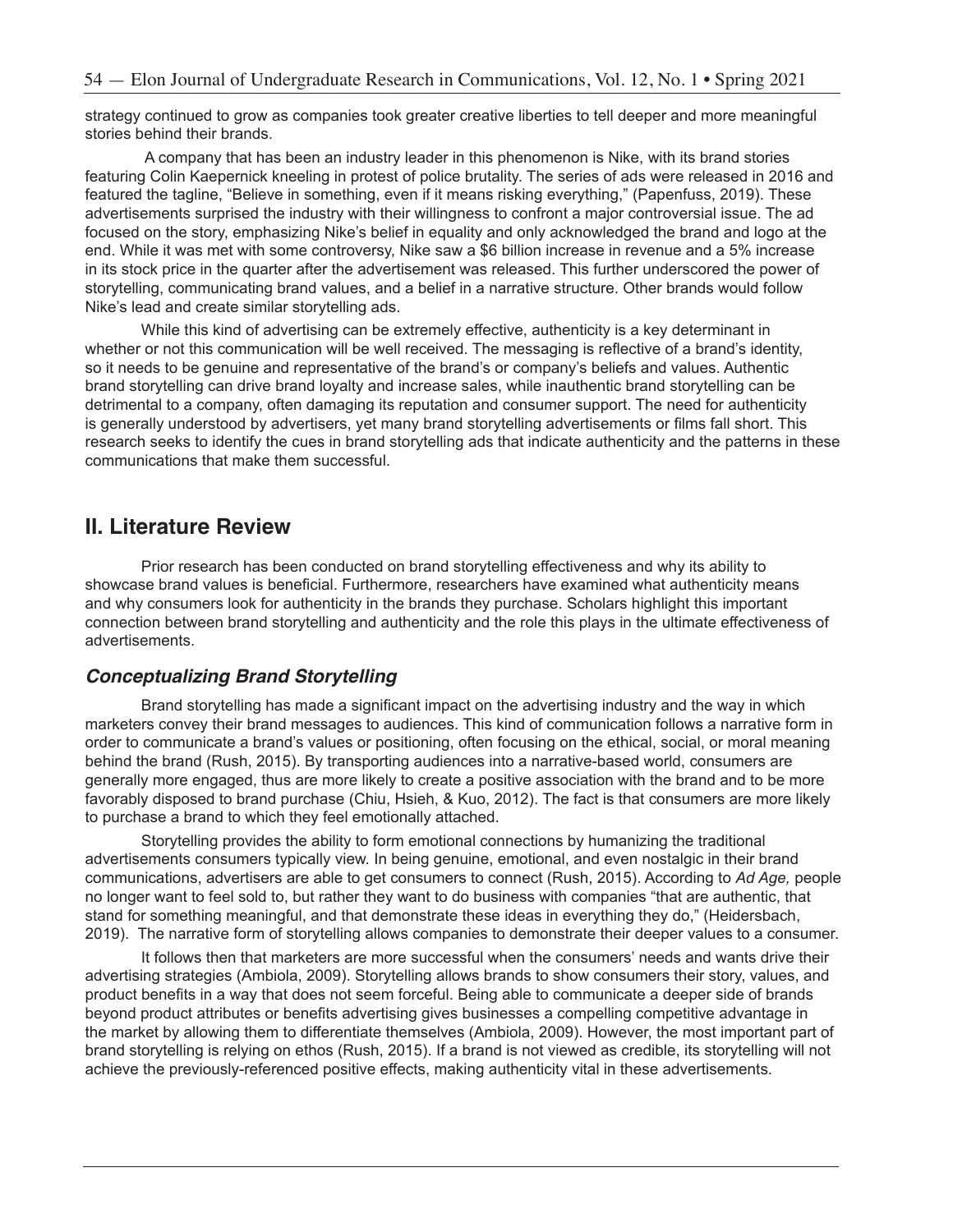strategy continued to grow as companies took greater creative liberties to tell deeper and more meaningful stories behind their brands.

 A company that has been an industry leader in this phenomenon is Nike, with its brand stories featuring Colin Kaepernick kneeling in protest of police brutality. The series of ads were released in 2016 and featured the tagline, "Believe in something, even if it means risking everything," (Papenfuss, 2019). These advertisements surprised the industry with their willingness to confront a major controversial issue. The ad focused on the story, emphasizing Nike's belief in equality and only acknowledged the brand and logo at the end. While it was met with some controversy, Nike saw a \$6 billion increase in revenue and a 5% increase in its stock price in the quarter after the advertisement was released. This further underscored the power of storytelling, communicating brand values, and a belief in a narrative structure. Other brands would follow Nike's lead and create similar storytelling ads.

While this kind of advertising can be extremely effective, authenticity is a key determinant in whether or not this communication will be well received. The messaging is reflective of a brand's identity, so it needs to be genuine and representative of the brand's or company's beliefs and values. Authentic brand storytelling can drive brand loyalty and increase sales, while inauthentic brand storytelling can be detrimental to a company, often damaging its reputation and consumer support. The need for authenticity is generally understood by advertisers, yet many brand storytelling advertisements or films fall short. This research seeks to identify the cues in brand storytelling ads that indicate authenticity and the patterns in these communications that make them successful.

## **II. Literature Review**

Prior research has been conducted on brand storytelling effectiveness and why its ability to showcase brand values is beneficial. Furthermore, researchers have examined what authenticity means and why consumers look for authenticity in the brands they purchase. Scholars highlight this important connection between brand storytelling and authenticity and the role this plays in the ultimate effectiveness of advertisements.

### *Conceptualizing Brand Storytelling*

Brand storytelling has made a significant impact on the advertising industry and the way in which marketers convey their brand messages to audiences. This kind of communication follows a narrative form in order to communicate a brand's values or positioning, often focusing on the ethical, social, or moral meaning behind the brand (Rush, 2015). By transporting audiences into a narrative-based world, consumers are generally more engaged, thus are more likely to create a positive association with the brand and to be more favorably disposed to brand purchase (Chiu, Hsieh, & Kuo, 2012). The fact is that consumers are more likely to purchase a brand to which they feel emotionally attached.

Storytelling provides the ability to form emotional connections by humanizing the traditional advertisements consumers typically view. In being genuine, emotional, and even nostalgic in their brand communications, advertisers are able to get consumers to connect (Rush, 2015). According to *Ad Age,* people no longer want to feel sold to, but rather they want to do business with companies "that are authentic, that stand for something meaningful, and that demonstrate these ideas in everything they do," (Heidersbach, 2019). The narrative form of storytelling allows companies to demonstrate their deeper values to a consumer.

It follows then that marketers are more successful when the consumers' needs and wants drive their advertising strategies (Ambiola, 2009). Storytelling allows brands to show consumers their story, values, and product benefits in a way that does not seem forceful. Being able to communicate a deeper side of brands beyond product attributes or benefits advertising gives businesses a compelling competitive advantage in the market by allowing them to differentiate themselves (Ambiola, 2009). However, the most important part of brand storytelling is relying on ethos (Rush, 2015). If a brand is not viewed as credible, its storytelling will not achieve the previously-referenced positive effects, making authenticity vital in these advertisements.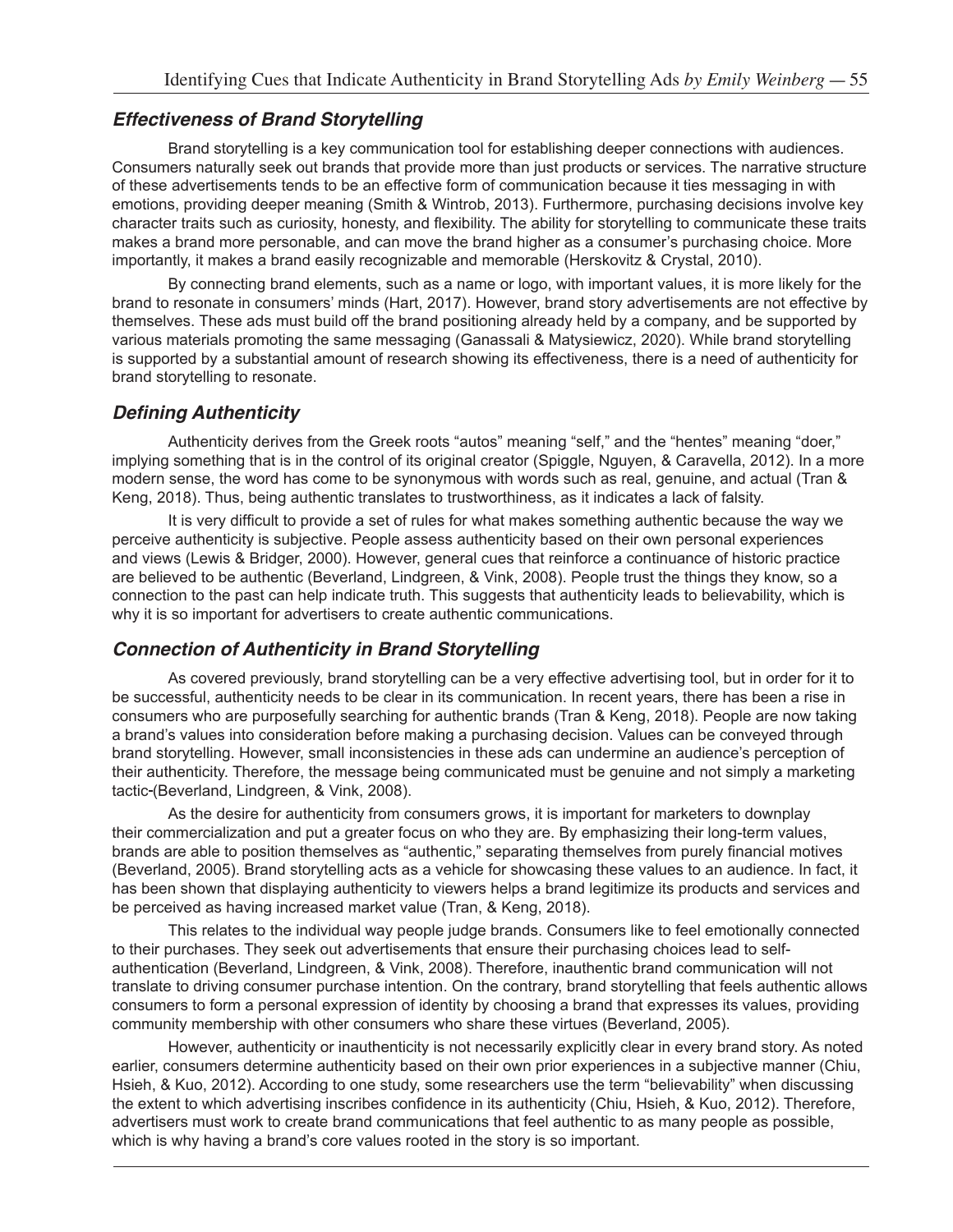#### *Effectiveness of Brand Storytelling*

Brand storytelling is a key communication tool for establishing deeper connections with audiences. Consumers naturally seek out brands that provide more than just products or services. The narrative structure of these advertisements tends to be an effective form of communication because it ties messaging in with emotions, providing deeper meaning (Smith & Wintrob, 2013). Furthermore, purchasing decisions involve key character traits such as curiosity, honesty, and flexibility. The ability for storytelling to communicate these traits makes a brand more personable, and can move the brand higher as a consumer's purchasing choice. More importantly, it makes a brand easily recognizable and memorable (Herskovitz & Crystal, 2010).

By connecting brand elements, such as a name or logo, with important values, it is more likely for the brand to resonate in consumers' minds (Hart, 2017). However, brand story advertisements are not effective by themselves. These ads must build off the brand positioning already held by a company, and be supported by various materials promoting the same messaging (Ganassali & Matysiewicz, 2020). While brand storytelling is supported by a substantial amount of research showing its effectiveness, there is a need of authenticity for brand storytelling to resonate.

#### **Defining Authenticity**

Authenticity derives from the Greek roots "autos" meaning "self," and the "hentes" meaning "doer," implying something that is in the control of its original creator (Spiggle, Nguyen, & Caravella, 2012). In a more modern sense, the word has come to be synonymous with words such as real, genuine, and actual (Tran & Keng, 2018). Thus, being authentic translates to trustworthiness, as it indicates a lack of falsity.

It is very difficult to provide a set of rules for what makes something authentic because the way we perceive authenticity is subjective. People assess authenticity based on their own personal experiences and views (Lewis & Bridger, 2000). However, general cues that reinforce a continuance of historic practice are believed to be authentic (Beverland, Lindgreen, & Vink, 2008). People trust the things they know, so a connection to the past can help indicate truth. This suggests that authenticity leads to believability, which is why it is so important for advertisers to create authentic communications.

### **Connection of Authenticity in Brand Storytelling**

As covered previously, brand storytelling can be a very effective advertising tool, but in order for it to be successful, authenticity needs to be clear in its communication. In recent years, there has been a rise in consumers who are purposefully searching for authentic brands (Tran & Keng, 2018). People are now taking a brand's values into consideration before making a purchasing decision. Values can be conveyed through brand storytelling. However, small inconsistencies in these ads can undermine an audience's perception of their authenticity. Therefore, the message being communicated must be genuine and not simply a marketing tactic (Beverland, Lindgreen, & Vink, 2008).

As the desire for authenticity from consumers grows, it is important for marketers to downplay their commercialization and put a greater focus on who they are. By emphasizing their long-term values, brands are able to position themselves as "authentic," separating themselves from purely financial motives (Beverland, 2005). Brand storytelling acts as a vehicle for showcasing these values to an audience. In fact, it has been shown that displaying authenticity to viewers helps a brand legitimize its products and services and be perceived as having increased market value (Tran, & Keng, 2018).

This relates to the individual way people judge brands. Consumers like to feel emotionally connected to their purchases. They seek out advertisements that ensure their purchasing choices lead to selfauthentication (Beverland, Lindgreen, & Vink, 2008). Therefore, inauthentic brand communication will not translate to driving consumer purchase intention. On the contrary, brand storytelling that feels authentic allows consumers to form a personal expression of identity by choosing a brand that expresses its values, providing community membership with other consumers who share these virtues (Beverland, 2005).

However, authenticity or inauthenticity is not necessarily explicitly clear in every brand story. As noted earlier, consumers determine authenticity based on their own prior experiences in a subjective manner (Chiu, Hsieh, & Kuo, 2012). According to one study, some researchers use the term "believability" when discussing the extent to which advertising inscribes confidence in its authenticity (Chiu, Hsieh, & Kuo, 2012). Therefore, advertisers must work to create brand communications that feel authentic to as many people as possible, which is why having a brand's core values rooted in the story is so important.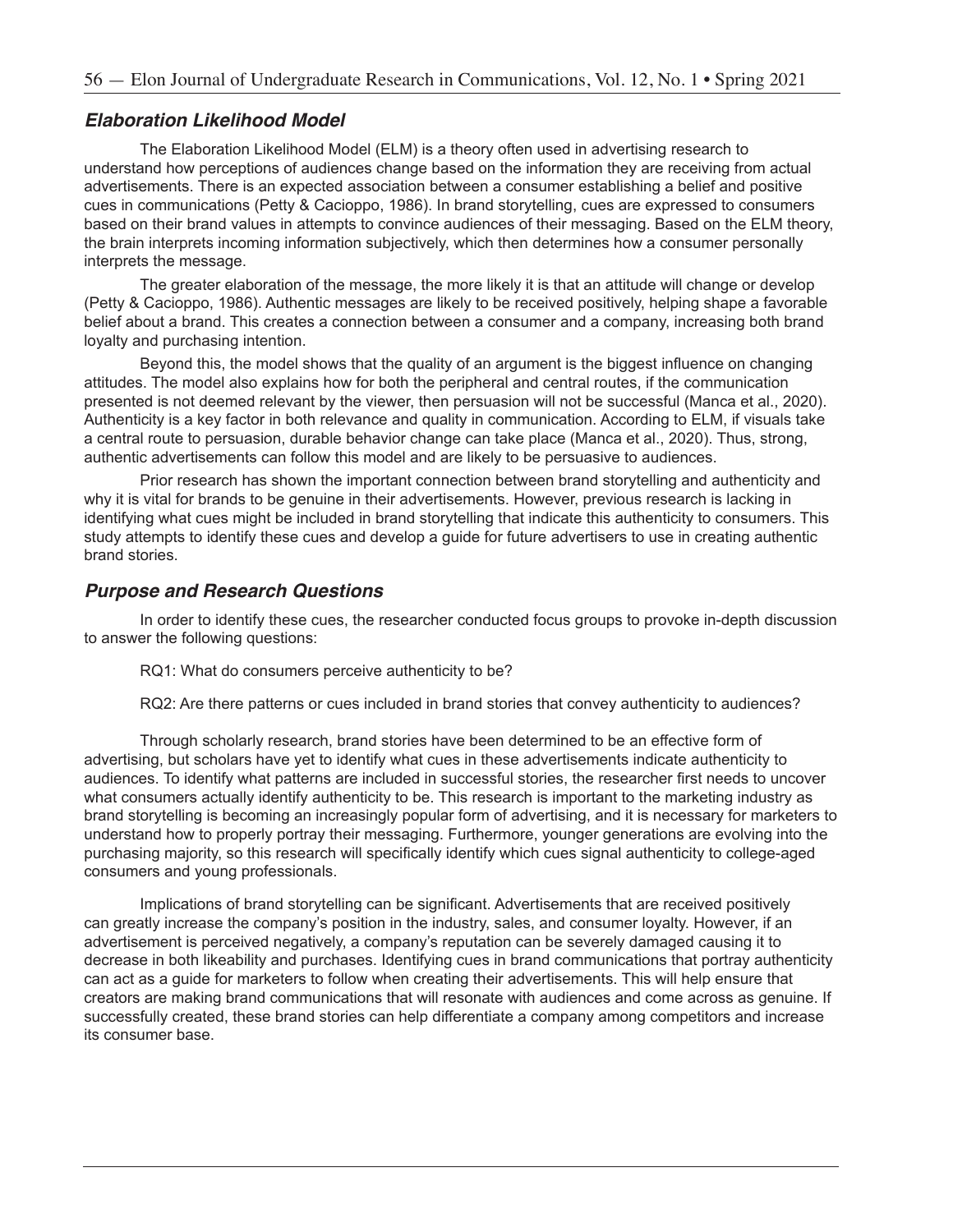#### **Elaboration Likelihood Model**

The Elaboration Likelihood Model (ELM) is a theory often used in advertising research to understand how perceptions of audiences change based on the information they are receiving from actual advertisements. There is an expected association between a consumer establishing a belief and positive cues in communications (Petty & Cacioppo, 1986). In brand storytelling, cues are expressed to consumers based on their brand values in attempts to convince audiences of their messaging. Based on the ELM theory, the brain interprets incoming information subjectively, which then determines how a consumer personally interprets the message.

The greater elaboration of the message, the more likely it is that an attitude will change or develop (Petty & Cacioppo, 1986). Authentic messages are likely to be received positively, helping shape a favorable belief about a brand. This creates a connection between a consumer and a company, increasing both brand loyalty and purchasing intention.

Beyond this, the model shows that the quality of an argument is the biggest influence on changing attitudes. The model also explains how for both the peripheral and central routes, if the communication presented is not deemed relevant by the viewer, then persuasion will not be successful (Manca et al., 2020). Authenticity is a key factor in both relevance and quality in communication. According to ELM, if visuals take a central route to persuasion, durable behavior change can take place (Manca et al., 2020). Thus, strong, authentic advertisements can follow this model and are likely to be persuasive to audiences.

Prior research has shown the important connection between brand storytelling and authenticity and why it is vital for brands to be genuine in their advertisements. However, previous research is lacking in identifying what cues might be included in brand storytelling that indicate this authenticity to consumers. This study attempts to identify these cues and develop a guide for future advertisers to use in creating authentic brand stories.

#### **Purpose and Research Questions**

In order to identify these cues, the researcher conducted focus groups to provoke in-depth discussion to answer the following questions:

RQ1: What do consumers perceive authenticity to be?

RQ2: Are there patterns or cues included in brand stories that convey authenticity to audiences?

Through scholarly research, brand stories have been determined to be an effective form of advertising, but scholars have yet to identify what cues in these advertisements indicate authenticity to audiences. To identify what patterns are included in successful stories, the researcher first needs to uncover what consumers actually identify authenticity to be. This research is important to the marketing industry as brand storytelling is becoming an increasingly popular form of advertising, and it is necessary for marketers to understand how to properly portray their messaging. Furthermore, younger generations are evolving into the purchasing majority, so this research will specifically identify which cues signal authenticity to college-aged consumers and young professionals.

Implications of brand storytelling can be significant. Advertisements that are received positively can greatly increase the company's position in the industry, sales, and consumer loyalty. However, if an advertisement is perceived negatively, a company's reputation can be severely damaged causing it to decrease in both likeability and purchases. Identifying cues in brand communications that portray authenticity can act as a guide for marketers to follow when creating their advertisements. This will help ensure that creators are making brand communications that will resonate with audiences and come across as genuine. If successfully created, these brand stories can help differentiate a company among competitors and increase its consumer base.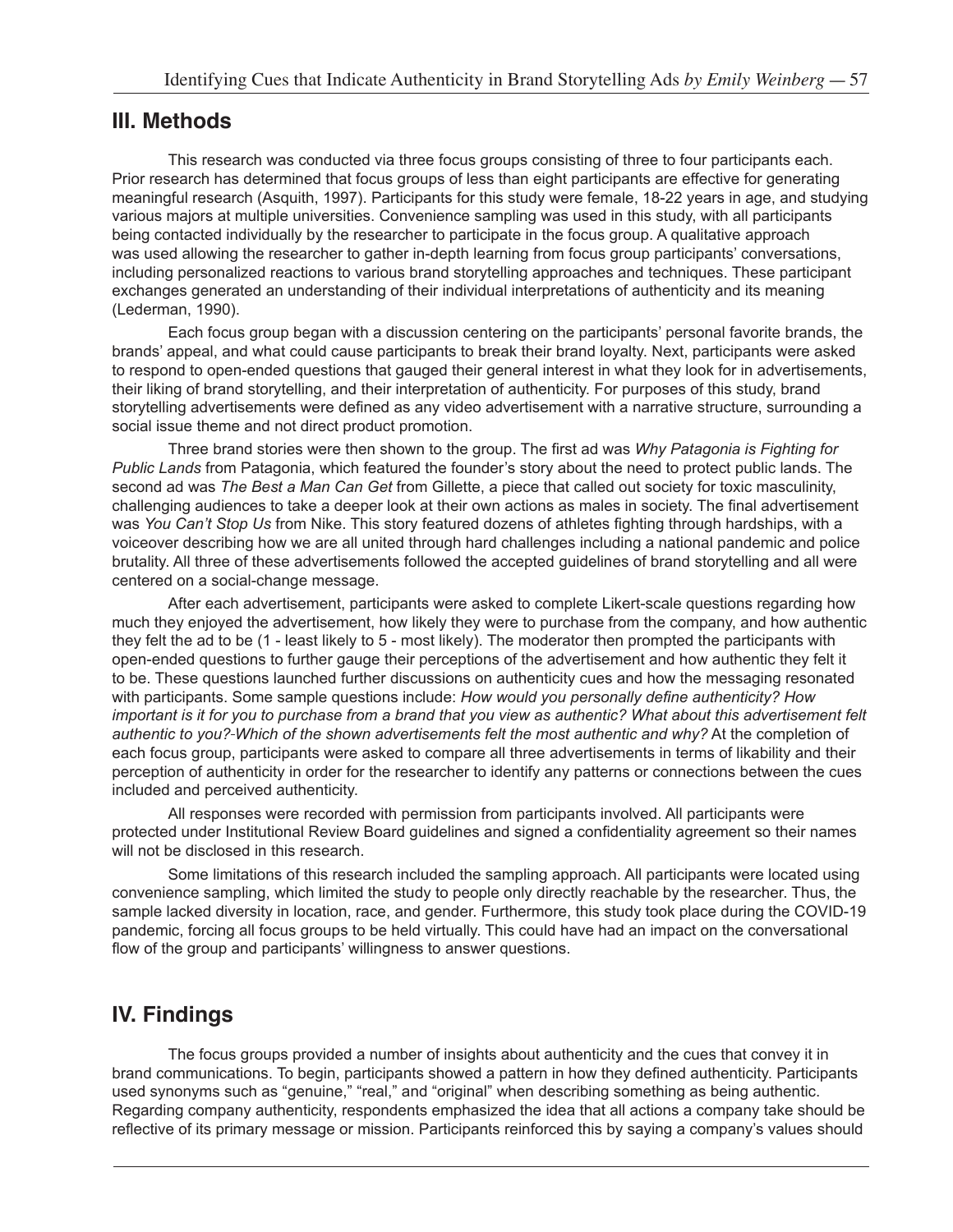## **III. Methods**

This research was conducted via three focus groups consisting of three to four participants each. Prior research has determined that focus groups of less than eight participants are effective for generating meaningful research (Asquith, 1997). Participants for this study were female, 18-22 years in age, and studying various majors at multiple universities. Convenience sampling was used in this study, with all participants being contacted individually by the researcher to participate in the focus group. A qualitative approach was used allowing the researcher to gather in-depth learning from focus group participants' conversations, including personalized reactions to various brand storytelling approaches and techniques. These participant exchanges generated an understanding of their individual interpretations of authenticity and its meaning (Lederman, 1990).

Each focus group began with a discussion centering on the participants' personal favorite brands, the brands' appeal, and what could cause participants to break their brand loyalty. Next, participants were asked to respond to open-ended questions that gauged their general interest in what they look for in advertisements, their liking of brand storytelling, and their interpretation of authenticity. For purposes of this study, brand storytelling advertisements were defined as any video advertisement with a narrative structure, surrounding a social issue theme and not direct product promotion.

Three brand stories were then shown to the group. The first ad was *Why Patagonia is Fighting for Public Lands* from Patagonia, which featured the founder's story about the need to protect public lands. The second ad was *The Best a Man Can Get* from Gillette, a piece that called out society for toxic masculinity, challenging audiences to take a deeper look at their own actions as males in society. The final advertisement was *You Can't Stop Us* from Nike. This story featured dozens of athletes fighting through hardships, with a voiceover describing how we are all united through hard challenges including a national pandemic and police brutality. All three of these advertisements followed the accepted guidelines of brand storytelling and all were centered on a social-change message.

After each advertisement, participants were asked to complete Likert-scale questions regarding how much they enjoyed the advertisement, how likely they were to purchase from the company, and how authentic they felt the ad to be (1 - least likely to 5 - most likely). The moderator then prompted the participants with open-ended questions to further gauge their perceptions of the advertisement and how authentic they felt it to be. These questions launched further discussions on authenticity cues and how the messaging resonated with participants. Some sample questions include: *How would you personally define authenticity? How important is it for you to purchase from a brand that you view as authentic? What about this advertisement felt authentic to you? Which of the shown advertisements felt the most authentic and why?* At the completion of each focus group, participants were asked to compare all three advertisements in terms of likability and their perception of authenticity in order for the researcher to identify any patterns or connections between the cues included and perceived authenticity.

All responses were recorded with permission from participants involved. All participants were protected under Institutional Review Board guidelines and signed a confidentiality agreement so their names will not be disclosed in this research.

Some limitations of this research included the sampling approach. All participants were located using convenience sampling, which limited the study to people only directly reachable by the researcher. Thus, the sample lacked diversity in location, race, and gender. Furthermore, this study took place during the COVID-19 pandemic, forcing all focus groups to be held virtually. This could have had an impact on the conversational flow of the group and participants' willingness to answer questions.

## **IV. Findings**

The focus groups provided a number of insights about authenticity and the cues that convey it in brand communications. To begin, participants showed a pattern in how they defined authenticity. Participants used synonyms such as "genuine," "real," and "original" when describing something as being authentic. Regarding company authenticity, respondents emphasized the idea that all actions a company take should be reflective of its primary message or mission. Participants reinforced this by saying a company's values should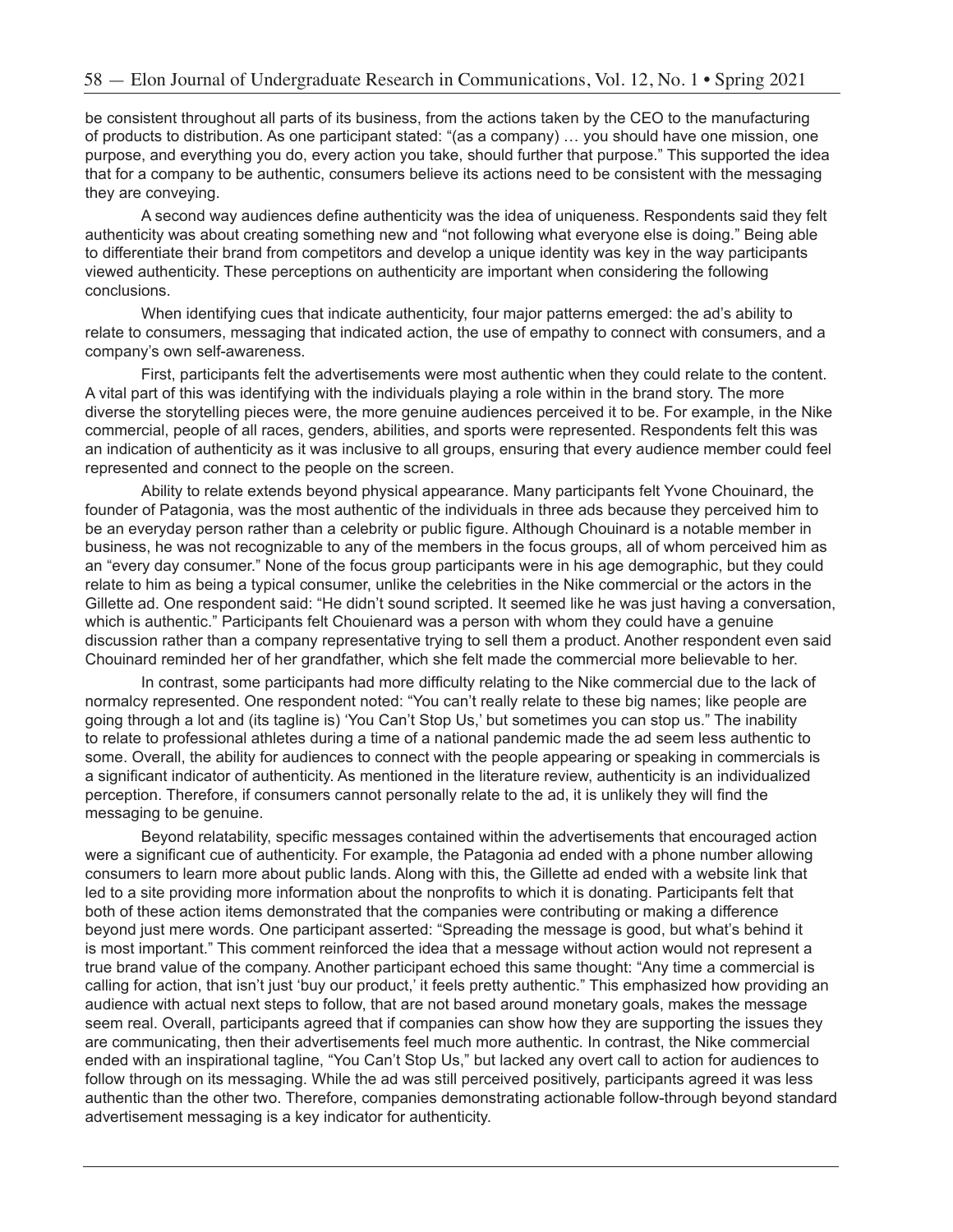be consistent throughout all parts of its business, from the actions taken by the CEO to the manufacturing of products to distribution. As one participant stated: "(as a company) … you should have one mission, one purpose, and everything you do, every action you take, should further that purpose." This supported the idea that for a company to be authentic, consumers believe its actions need to be consistent with the messaging they are conveying.

A second way audiences define authenticity was the idea of uniqueness. Respondents said they felt authenticity was about creating something new and "not following what everyone else is doing." Being able to differentiate their brand from competitors and develop a unique identity was key in the way participants viewed authenticity. These perceptions on authenticity are important when considering the following conclusions.

When identifying cues that indicate authenticity, four major patterns emerged: the ad's ability to relate to consumers, messaging that indicated action, the use of empathy to connect with consumers, and a company's own self-awareness.

First, participants felt the advertisements were most authentic when they could relate to the content. A vital part of this was identifying with the individuals playing a role within in the brand story. The more diverse the storytelling pieces were, the more genuine audiences perceived it to be. For example, in the Nike commercial, people of all races, genders, abilities, and sports were represented. Respondents felt this was an indication of authenticity as it was inclusive to all groups, ensuring that every audience member could feel represented and connect to the people on the screen.

Ability to relate extends beyond physical appearance. Many participants felt Yvone Chouinard, the founder of Patagonia, was the most authentic of the individuals in three ads because they perceived him to be an everyday person rather than a celebrity or public figure. Although Chouinard is a notable member in business, he was not recognizable to any of the members in the focus groups, all of whom perceived him as an "every day consumer." None of the focus group participants were in his age demographic, but they could relate to him as being a typical consumer, unlike the celebrities in the Nike commercial or the actors in the Gillette ad. One respondent said: "He didn't sound scripted. It seemed like he was just having a conversation, which is authentic." Participants felt Chouienard was a person with whom they could have a genuine discussion rather than a company representative trying to sell them a product. Another respondent even said Chouinard reminded her of her grandfather, which she felt made the commercial more believable to her.

In contrast, some participants had more difficulty relating to the Nike commercial due to the lack of normalcy represented. One respondent noted: "You can't really relate to these big names; like people are going through a lot and (its tagline is) 'You Can't Stop Us,' but sometimes you can stop us." The inability to relate to professional athletes during a time of a national pandemic made the ad seem less authentic to some. Overall, the ability for audiences to connect with the people appearing or speaking in commercials is a significant indicator of authenticity. As mentioned in the literature review, authenticity is an individualized perception. Therefore, if consumers cannot personally relate to the ad, it is unlikely they will find the messaging to be genuine.

Beyond relatability, specific messages contained within the advertisements that encouraged action were a significant cue of authenticity. For example, the Patagonia ad ended with a phone number allowing consumers to learn more about public lands. Along with this, the Gillette ad ended with a website link that led to a site providing more information about the nonprofits to which it is donating. Participants felt that both of these action items demonstrated that the companies were contributing or making a difference beyond just mere words. One participant asserted: "Spreading the message is good, but what's behind it is most important." This comment reinforced the idea that a message without action would not represent a true brand value of the company. Another participant echoed this same thought: "Any time a commercial is calling for action, that isn't just 'buy our product,' it feels pretty authentic." This emphasized how providing an audience with actual next steps to follow, that are not based around monetary goals, makes the message seem real. Overall, participants agreed that if companies can show how they are supporting the issues they are communicating, then their advertisements feel much more authentic. In contrast, the Nike commercial ended with an inspirational tagline, "You Can't Stop Us," but lacked any overt call to action for audiences to follow through on its messaging. While the ad was still perceived positively, participants agreed it was less authentic than the other two. Therefore, companies demonstrating actionable follow-through beyond standard advertisement messaging is a key indicator for authenticity.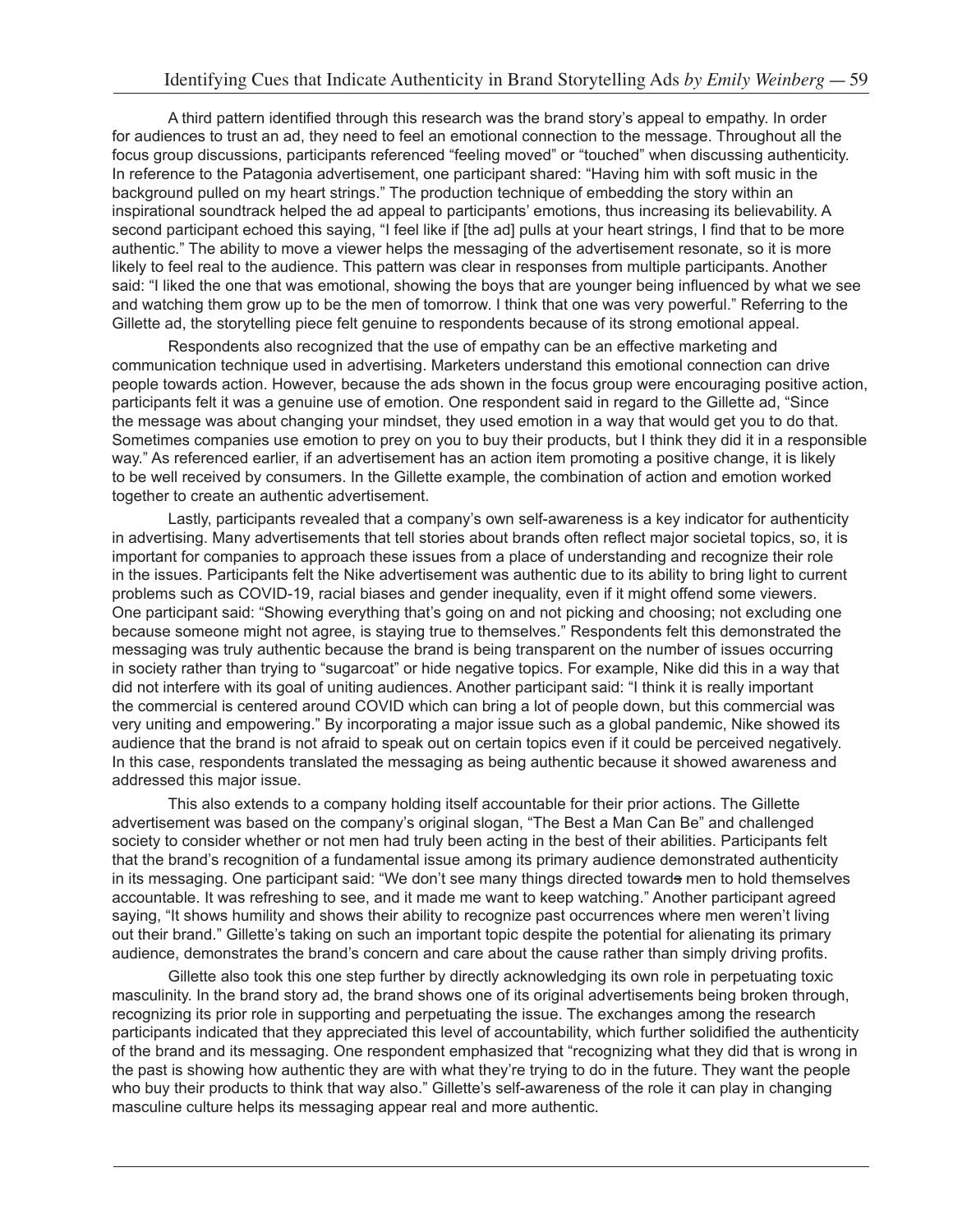A third pattern identified through this research was the brand story's appeal to empathy. In order for audiences to trust an ad, they need to feel an emotional connection to the message. Throughout all the focus group discussions, participants referenced "feeling moved" or "touched" when discussing authenticity. In reference to the Patagonia advertisement, one participant shared: "Having him with soft music in the background pulled on my heart strings." The production technique of embedding the story within an inspirational soundtrack helped the ad appeal to participants' emotions, thus increasing its believability. A second participant echoed this saying, "I feel like if [the ad] pulls at your heart strings, I find that to be more authentic." The ability to move a viewer helps the messaging of the advertisement resonate, so it is more likely to feel real to the audience. This pattern was clear in responses from multiple participants. Another said: "I liked the one that was emotional, showing the boys that are younger being influenced by what we see and watching them grow up to be the men of tomorrow. I think that one was very powerful." Referring to the Gillette ad, the storytelling piece felt genuine to respondents because of its strong emotional appeal.

Respondents also recognized that the use of empathy can be an effective marketing and communication technique used in advertising. Marketers understand this emotional connection can drive people towards action. However, because the ads shown in the focus group were encouraging positive action, participants felt it was a genuine use of emotion. One respondent said in regard to the Gillette ad, "Since the message was about changing your mindset, they used emotion in a way that would get you to do that. Sometimes companies use emotion to prey on you to buy their products, but I think they did it in a responsible way." As referenced earlier, if an advertisement has an action item promoting a positive change, it is likely to be well received by consumers. In the Gillette example, the combination of action and emotion worked together to create an authentic advertisement.

Lastly, participants revealed that a company's own self-awareness is a key indicator for authenticity in advertising. Many advertisements that tell stories about brands often reflect major societal topics, so, it is important for companies to approach these issues from a place of understanding and recognize their role in the issues. Participants felt the Nike advertisement was authentic due to its ability to bring light to current problems such as COVID-19, racial biases and gender inequality, even if it might offend some viewers. One participant said: "Showing everything that's going on and not picking and choosing; not excluding one because someone might not agree, is staying true to themselves." Respondents felt this demonstrated the messaging was truly authentic because the brand is being transparent on the number of issues occurring in society rather than trying to "sugarcoat" or hide negative topics. For example, Nike did this in a way that did not interfere with its goal of uniting audiences. Another participant said: "I think it is really important the commercial is centered around COVID which can bring a lot of people down, but this commercial was very uniting and empowering." By incorporating a major issue such as a global pandemic, Nike showed its audience that the brand is not afraid to speak out on certain topics even if it could be perceived negatively. In this case, respondents translated the messaging as being authentic because it showed awareness and addressed this major issue.

This also extends to a company holding itself accountable for their prior actions. The Gillette advertisement was based on the company's original slogan, "The Best a Man Can Be" and challenged society to consider whether or not men had truly been acting in the best of their abilities. Participants felt that the brand's recognition of a fundamental issue among its primary audience demonstrated authenticity in its messaging. One participant said: "We don't see many things directed towards men to hold themselves accountable. It was refreshing to see, and it made me want to keep watching." Another participant agreed saying, "It shows humility and shows their ability to recognize past occurrences where men weren't living out their brand." Gillette's taking on such an important topic despite the potential for alienating its primary audience, demonstrates the brand's concern and care about the cause rather than simply driving profits.

Gillette also took this one step further by directly acknowledging its own role in perpetuating toxic masculinity. In the brand story ad, the brand shows one of its original advertisements being broken through, recognizing its prior role in supporting and perpetuating the issue. The exchanges among the research participants indicated that they appreciated this level of accountability, which further solidified the authenticity of the brand and its messaging. One respondent emphasized that "recognizing what they did that is wrong in the past is showing how authentic they are with what they're trying to do in the future. They want the people who buy their products to think that way also." Gillette's self-awareness of the role it can play in changing masculine culture helps its messaging appear real and more authentic.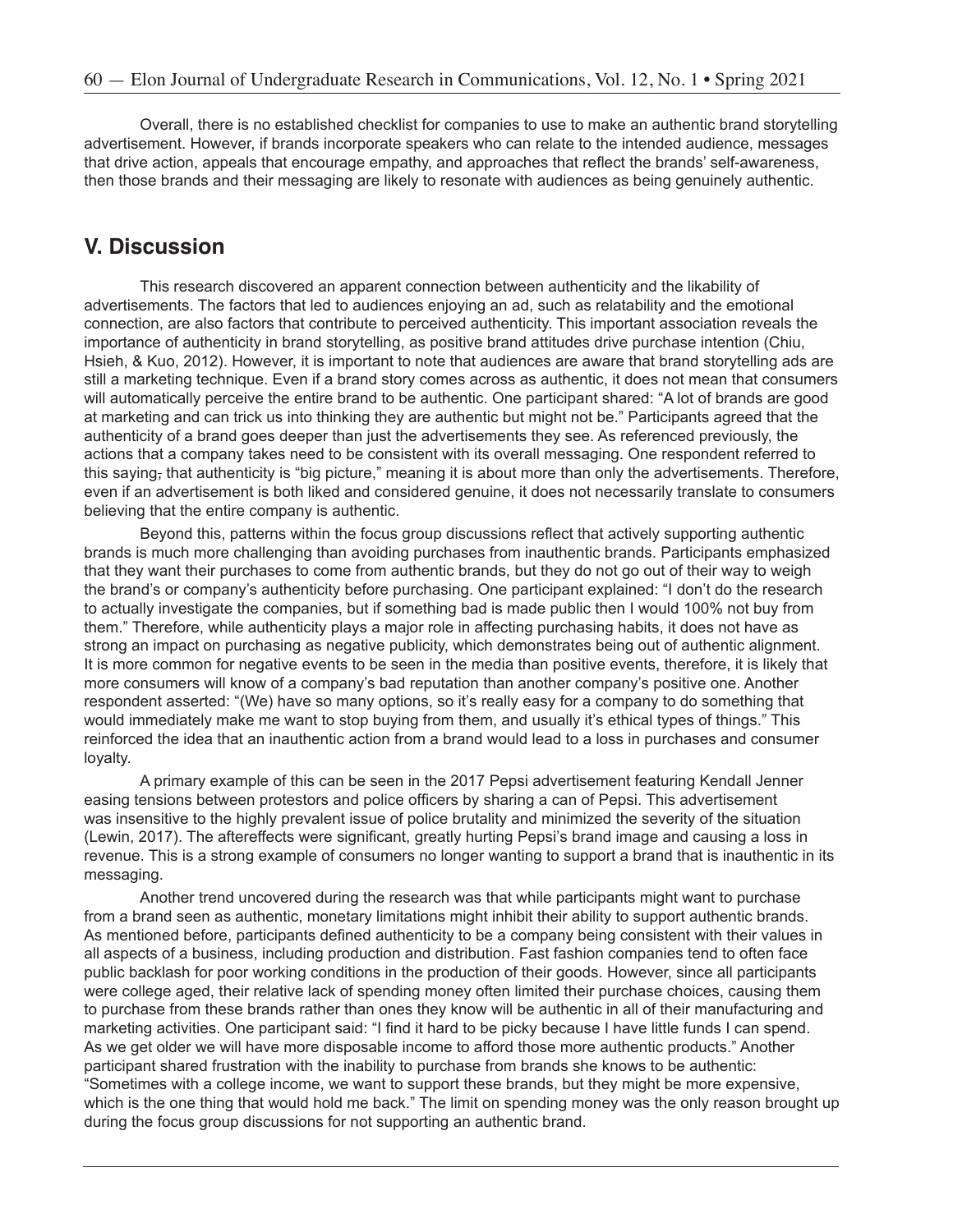Overall, there is no established checklist for companies to use to make an authentic brand storytelling advertisement. However, if brands incorporate speakers who can relate to the intended audience, messages that drive action, appeals that encourage empathy, and approaches that reflect the brands' self-awareness, then those brands and their messaging are likely to resonate with audiences as being genuinely authentic.

### **V. Discussion**

This research discovered an apparent connection between authenticity and the likability of advertisements. The factors that led to audiences enjoying an ad, such as relatability and the emotional connection, are also factors that contribute to perceived authenticity. This important association reveals the importance of authenticity in brand storytelling, as positive brand attitudes drive purchase intention (Chiu, Hsieh, & Kuo, 2012). However, it is important to note that audiences are aware that brand storytelling ads are still a marketing technique. Even if a brand story comes across as authentic, it does not mean that consumers will automatically perceive the entire brand to be authentic. One participant shared: "A lot of brands are good at marketing and can trick us into thinking they are authentic but might not be." Participants agreed that the authenticity of a brand goes deeper than just the advertisements they see. As referenced previously, the actions that a company takes need to be consistent with its overall messaging. One respondent referred to this saying, that authenticity is "big picture," meaning it is about more than only the advertisements. Therefore, even if an advertisement is both liked and considered genuine, it does not necessarily translate to consumers believing that the entire company is authentic.

Beyond this, patterns within the focus group discussions reflect that actively supporting authentic brands is much more challenging than avoiding purchases from inauthentic brands. Participants emphasized that they want their purchases to come from authentic brands, but they do not go out of their way to weigh the brand's or company's authenticity before purchasing. One participant explained: "I don't do the research to actually investigate the companies, but if something bad is made public then I would 100% not buy from them." Therefore, while authenticity plays a major role in affecting purchasing habits, it does not have as strong an impact on purchasing as negative publicity, which demonstrates being out of authentic alignment. It is more common for negative events to be seen in the media than positive events, therefore, it is likely that more consumers will know of a company's bad reputation than another company's positive one. Another respondent asserted: "(We) have so many options, so it's really easy for a company to do something that would immediately make me want to stop buying from them, and usually it's ethical types of things." This reinforced the idea that an inauthentic action from a brand would lead to a loss in purchases and consumer loyalty.

A primary example of this can be seen in the 2017 Pepsi advertisement featuring Kendall Jenner easing tensions between protestors and police officers by sharing a can of Pepsi. This advertisement was insensitive to the highly prevalent issue of police brutality and minimized the severity of the situation (Lewin, 2017). The aftereffects were significant, greatly hurting Pepsi's brand image and causing a loss in revenue. This is a strong example of consumers no longer wanting to support a brand that is inauthentic in its messaging.

Another trend uncovered during the research was that while participants might want to purchase from a brand seen as authentic, monetary limitations might inhibit their ability to support authentic brands. As mentioned before, participants defined authenticity to be a company being consistent with their values in all aspects of a business, including production and distribution. Fast fashion companies tend to often face public backlash for poor working conditions in the production of their goods. However, since all participants were college aged, their relative lack of spending money often limited their purchase choices, causing them to purchase from these brands rather than ones they know will be authentic in all of their manufacturing and marketing activities. One participant said: "I find it hard to be picky because I have little funds I can spend. As we get older we will have more disposable income to afford those more authentic products." Another participant shared frustration with the inability to purchase from brands she knows to be authentic: "Sometimes with a college income, we want to support these brands, but they might be more expensive, which is the one thing that would hold me back." The limit on spending money was the only reason brought up during the focus group discussions for not supporting an authentic brand.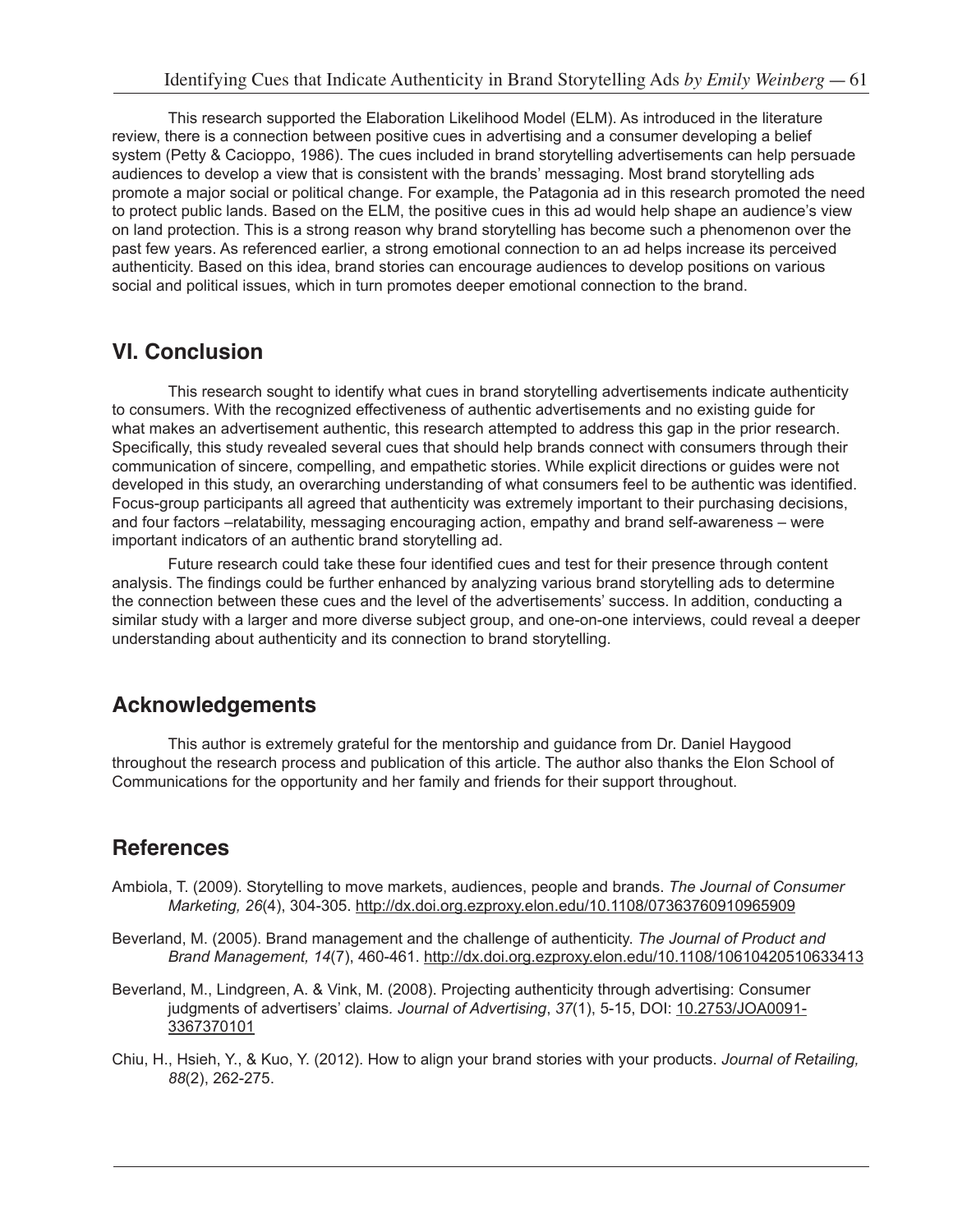This research supported the Elaboration Likelihood Model (ELM). As introduced in the literature review, there is a connection between positive cues in advertising and a consumer developing a belief system (Petty & Cacioppo, 1986). The cues included in brand storytelling advertisements can help persuade audiences to develop a view that is consistent with the brands' messaging. Most brand storytelling ads promote a major social or political change. For example, the Patagonia ad in this research promoted the need to protect public lands. Based on the ELM, the positive cues in this ad would help shape an audience's view on land protection. This is a strong reason why brand storytelling has become such a phenomenon over the past few years. As referenced earlier, a strong emotional connection to an ad helps increase its perceived authenticity. Based on this idea, brand stories can encourage audiences to develop positions on various social and political issues, which in turn promotes deeper emotional connection to the brand.

## **VI. Conclusion**

This research sought to identify what cues in brand storytelling advertisements indicate authenticity to consumers. With the recognized effectiveness of authentic advertisements and no existing guide for what makes an advertisement authentic, this research attempted to address this gap in the prior research. Specifically, this study revealed several cues that should help brands connect with consumers through their communication of sincere, compelling, and empathetic stories. While explicit directions or guides were not developed in this study, an overarching understanding of what consumers feel to be authentic was identified. Focus-group participants all agreed that authenticity was extremely important to their purchasing decisions, and four factors –relatability, messaging encouraging action, empathy and brand self-awareness – were important indicators of an authentic brand storytelling ad.

Future research could take these four identified cues and test for their presence through content analysis. The findings could be further enhanced by analyzing various brand storytelling ads to determine the connection between these cues and the level of the advertisements' success. In addition, conducting a similar study with a larger and more diverse subject group, and one-on-one interviews, could reveal a deeper understanding about authenticity and its connection to brand storytelling.

# **Acknowledgements**

This author is extremely grateful for the mentorship and guidance from Dr. Daniel Haygood throughout the research process and publication of this article. The author also thanks the Elon School of Communications for the opportunity and her family and friends for their support throughout.

## **References**

- Ambiola, T. (2009). Storytelling to move markets, audiences, people and brands. *The Journal of Consumer Marketing, 26*(4), 304-305. http://dx.doi.org.ezproxy.elon.edu/10.1108/07363760910965909
- Beverland, M. (2005). Brand management and the challenge of authenticity. *The Journal of Product and Brand Management, 14*(7), 460-461. http://dx.doi.org.ezproxy.elon.edu/10.1108/10610420510633413
- Beverland, M., Lindgreen, A. & Vink, M. (2008). Projecting authenticity through advertising: Consumer judgments of advertisers' claims*. Journal of Advertising*, *37*(1), 5-15, DOI: 10.2753/JOA0091- 3367370101
- Chiu, H., Hsieh, Y., & Kuo, Y. (2012). How to align your brand stories with your products. *Journal of Retailing, 88*(2), 262-275.